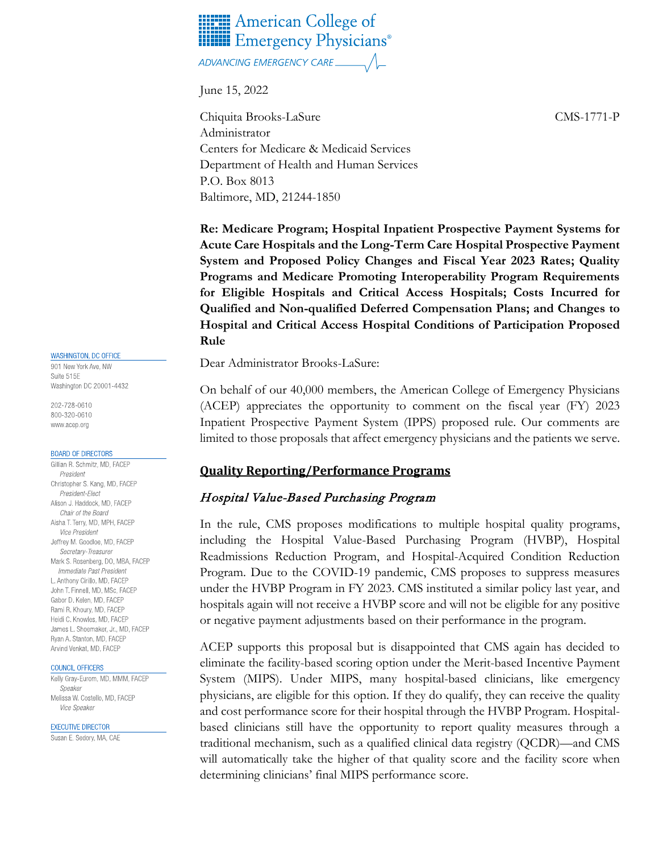

June 15, 2022

Chiquita Brooks-LaSure CMS-1771-P Administrator Centers for Medicare & Medicaid Services Department of Health and Human Services P.O. Box 8013 Baltimore, MD, 21244-1850

**Re: Medicare Program; Hospital Inpatient Prospective Payment Systems for Acute Care Hospitals and the Long-Term Care Hospital Prospective Payment System and Proposed Policy Changes and Fiscal Year 2023 Rates; Quality Programs and Medicare Promoting Interoperability Program Requirements for Eligible Hospitals and Critical Access Hospitals; Costs Incurred for Qualified and Non-qualified Deferred Compensation Plans; and Changes to Hospital and Critical Access Hospital Conditions of Participation Proposed Rule**

Dear Administrator Brooks-LaSure:

On behalf of our 40,000 members, the American College of Emergency Physicians (ACEP) appreciates the opportunity to comment on the fiscal year (FY) 2023 Inpatient Prospective Payment System (IPPS) proposed rule. Our comments are limited to those proposals that affect emergency physicians and the patients we serve.

### **Quality Reporting/Performance Programs**

### Hospital Value-Based Purchasing Program

In the rule, CMS proposes modifications to multiple hospital quality programs, including the Hospital Value-Based Purchasing Program (HVBP), Hospital Readmissions Reduction Program, and Hospital-Acquired Condition Reduction Program. Due to the COVID-19 pandemic, CMS proposes to suppress measures under the HVBP Program in FY 2023. CMS instituted a similar policy last year, and hospitals again will not receive a HVBP score and will not be eligible for any positive or negative payment adjustments based on their performance in the program.

ACEP supports this proposal but is disappointed that CMS again has decided to eliminate the facility-based scoring option under the Merit-based Incentive Payment System (MIPS). Under MIPS, many hospital-based clinicians, like emergency physicians, are eligible for this option. If they do qualify, they can receive the quality and cost performance score for their hospital through the HVBP Program. Hospitalbased clinicians still have the opportunity to report quality measures through a traditional mechanism, such as a qualified clinical data registry (QCDR)—and CMS will automatically take the higher of that quality score and the facility score when determining clinicians' final MIPS performance score.

#### WASHINGTON, DC OFFICE

901 New York Ave, NW Suite 515E Washington DC 20001-4432

202-728-0610 800-320-0610 www.acep.org

#### **BOARD OF DIRECTORS**

Gillian R. Schmitz, MD, FACEP President Christopher S. Kang, MD, FACEP President-Elect Alison J. Haddock, MD, FACEP Chair of the Board Aisha T. Terry, MD, MPH, FACEP Vice President Jeffrey M. Goodloe, MD, FACEP Secretary-Treasurer Mark S. Rosenberg, DO, MBA, FACEP Immediate Past President L. Anthony Cirillo, MD, FACEP John T. Finnell, MD, MSc, FACEP Gabor D. Kelen, MD, FACEP Rami R. Khoury, MD, FACEP Heidi C. Knowles, MD, FACEP James L. Shoemaker, Jr., MD, FACEP Rvan A. Stanton, MD. FACEP Arvind Venkat, MD, FACEP

#### COUNCIL OFFICERS

Kelly Gray-Eurom, MD, MMM, FACEP Speaker Melissa W. Costello, MD, FACEP Vice Speaker

**EXECUTIVE DIRECTOR** 

Susan E. Sedory, MA, CAE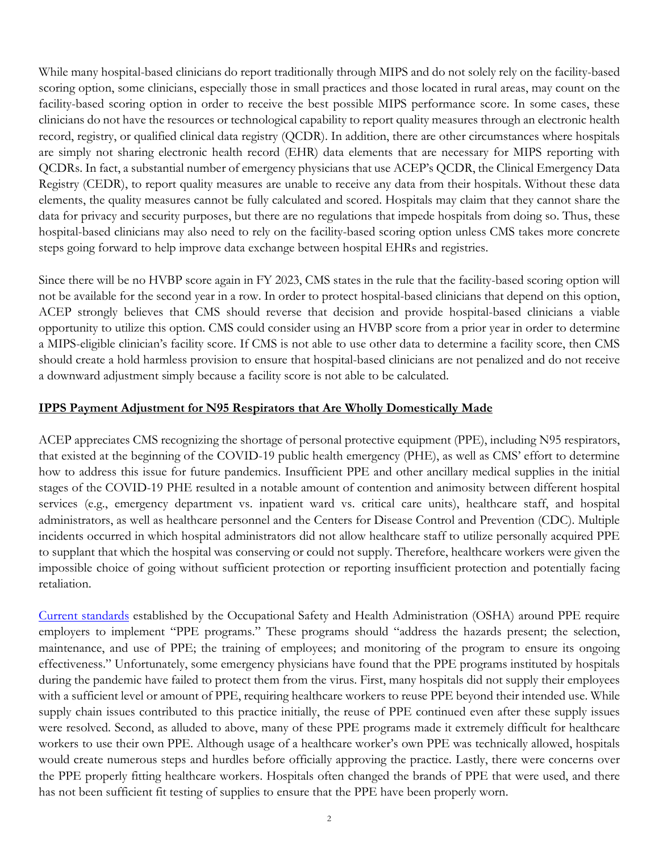While many hospital-based clinicians do report traditionally through MIPS and do not solely rely on the facility-based scoring option, some clinicians, especially those in small practices and those located in rural areas, may count on the facility-based scoring option in order to receive the best possible MIPS performance score. In some cases, these clinicians do not have the resources or technological capability to report quality measures through an electronic health record, registry, or qualified clinical data registry (QCDR). In addition, there are other circumstances where hospitals are simply not sharing electronic health record (EHR) data elements that are necessary for MIPS reporting with QCDRs. In fact, a substantial number of emergency physicians that use ACEP's QCDR, the Clinical Emergency Data Registry (CEDR), to report quality measures are unable to receive any data from their hospitals. Without these data elements, the quality measures cannot be fully calculated and scored. Hospitals may claim that they cannot share the data for privacy and security purposes, but there are no regulations that impede hospitals from doing so. Thus, these hospital-based clinicians may also need to rely on the facility-based scoring option unless CMS takes more concrete steps going forward to help improve data exchange between hospital EHRs and registries.

Since there will be no HVBP score again in FY 2023, CMS states in the rule that the facility-based scoring option will not be available for the second year in a row. In order to protect hospital-based clinicians that depend on this option, ACEP strongly believes that CMS should reverse that decision and provide hospital-based clinicians a viable opportunity to utilize this option. CMS could consider using an HVBP score from a prior year in order to determine a MIPS-eligible clinician's facility score. If CMS is not able to use other data to determine a facility score, then CMS should create a hold harmless provision to ensure that hospital-based clinicians are not penalized and do not receive a downward adjustment simply because a facility score is not able to be calculated.

### **IPPS Payment Adjustment for N95 Respirators that Are Wholly Domestically Made**

ACEP appreciates CMS recognizing the shortage of personal protective equipment (PPE), including N95 respirators, that existed at the beginning of the COVID-19 public health emergency (PHE), as well as CMS' effort to determine how to address this issue for future pandemics. Insufficient PPE and other ancillary medical supplies in the initial stages of the COVID-19 PHE resulted in a notable amount of contention and animosity between different hospital services (e.g., emergency department vs. inpatient ward vs. critical care units), healthcare staff, and hospital administrators, as well as healthcare personnel and the Centers for Disease Control and Prevention (CDC). Multiple incidents occurred in which hospital administrators did not allow healthcare staff to utilize personally acquired PPE to supplant that which the hospital was conserving or could not supply. Therefore, healthcare workers were given the impossible choice of going without sufficient protection or reporting insufficient protection and potentially facing retaliation.

[Current standards](https://www.osha.gov/personal-protective-equipment#:%7E:text=Personal%20protective%20equipment%2C%20commonly%20referred,mechanical%2C%20or%20other%20workplace%20hazards.) established by the Occupational Safety and Health Administration (OSHA) around PPE require employers to implement "PPE programs." These programs should "address the hazards present; the selection, maintenance, and use of PPE; the training of employees; and monitoring of the program to ensure its ongoing effectiveness." Unfortunately, some emergency physicians have found that the PPE programs instituted by hospitals during the pandemic have failed to protect them from the virus. First, many hospitals did not supply their employees with a sufficient level or amount of PPE, requiring healthcare workers to reuse PPE beyond their intended use. While supply chain issues contributed to this practice initially, the reuse of PPE continued even after these supply issues were resolved. Second, as alluded to above, many of these PPE programs made it extremely difficult for healthcare workers to use their own PPE. Although usage of a healthcare worker's own PPE was technically allowed, hospitals would create numerous steps and hurdles before officially approving the practice. Lastly, there were concerns over the PPE properly fitting healthcare workers. Hospitals often changed the brands of PPE that were used, and there has not been sufficient fit testing of supplies to ensure that the PPE have been properly worn.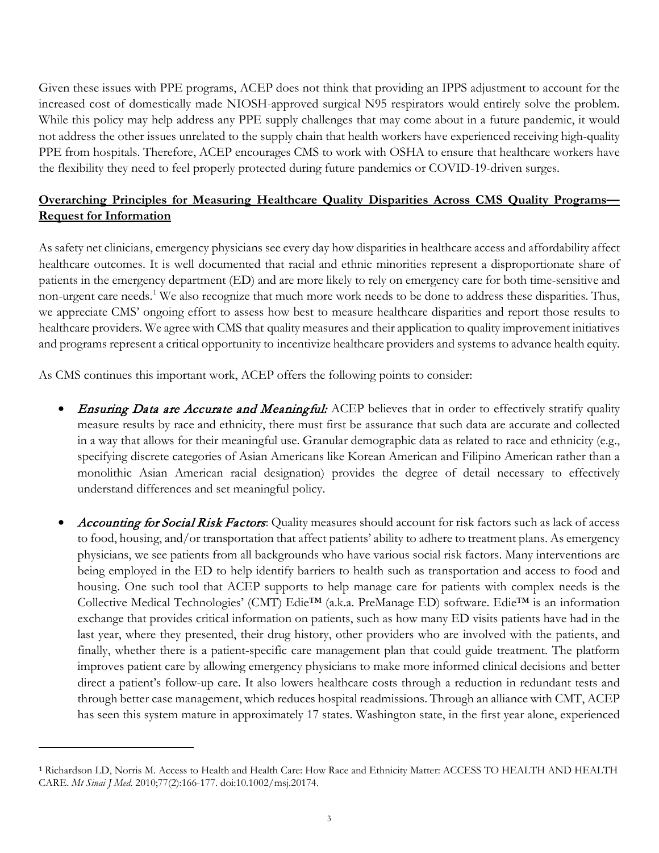Given these issues with PPE programs, ACEP does not think that providing an IPPS adjustment to account for the increased cost of domestically made NIOSH-approved surgical N95 respirators would entirely solve the problem. While this policy may help address any PPE supply challenges that may come about in a future pandemic, it would not address the other issues unrelated to the supply chain that health workers have experienced receiving high-quality PPE from hospitals. Therefore, ACEP encourages CMS to work with OSHA to ensure that healthcare workers have the flexibility they need to feel properly protected during future pandemics or COVID-19-driven surges.

# **Overarching Principles for Measuring Healthcare Quality Disparities Across CMS Quality Programs— Request for Information**

As safety net clinicians, emergency physicians see every day how disparities in healthcare access and affordability affect healthcare outcomes. It is well documented that racial and ethnic minorities represent a disproportionate share of patients in the emergency department (ED) and are more likely to rely on emergency care for both time-sensitive and non-urgent care needs.<sup>[1](#page-2-0)</sup> We also recognize that much more work needs to be done to address these disparities. Thus, we appreciate CMS' ongoing effort to assess how best to measure healthcare disparities and report those results to healthcare providers. We agree with CMS that quality measures and their application to quality improvement initiatives and programs represent a critical opportunity to incentivize healthcare providers and systems to advance health equity.

As CMS continues this important work, ACEP offers the following points to consider:

- Ensuring Data are Accurate and Meaningful: ACEP believes that in order to effectively stratify quality measure results by race and ethnicity, there must first be assurance that such data are accurate and collected in a way that allows for their meaningful use. Granular demographic data as related to race and ethnicity (e.g., specifying discrete categories of Asian Americans like Korean American and Filipino American rather than a monolithic Asian American racial designation) provides the degree of detail necessary to effectively understand differences and set meaningful policy.
- Accounting for Social Risk Factors: Quality measures should account for risk factors such as lack of access to food, housing, and/or transportation that affect patients' ability to adhere to treatment plans. As emergency physicians, we see patients from all backgrounds who have various social risk factors. Many interventions are being employed in the ED to help identify barriers to health such as transportation and access to food and housing. One such tool that ACEP supports to help manage care for patients with complex needs is the Collective Medical Technologies' (CMT) Edie™ (a.k.a. PreManage ED) software. Edie™ is an information exchange that provides critical information on patients, such as how many ED visits patients have had in the last year, where they presented, their drug history, other providers who are involved with the patients, and finally, whether there is a patient-specific care management plan that could guide treatment. The platform improves patient care by allowing emergency physicians to make more informed clinical decisions and better direct a patient's follow-up care. It also lowers healthcare costs through a reduction in redundant tests and through better case management, which reduces hospital readmissions. Through an alliance with CMT, ACEP has seen this system mature in approximately 17 states. Washington state, in the first year alone, experienced

<span id="page-2-0"></span><sup>1</sup> Richardson LD, Norris M. Access to Health and Health Care: How Race and Ethnicity Matter: ACCESS TO HEALTH AND HEALTH CARE. *Mt Sinai J Med*. 2010;77(2):166-177. doi:10.1002/msj.20174.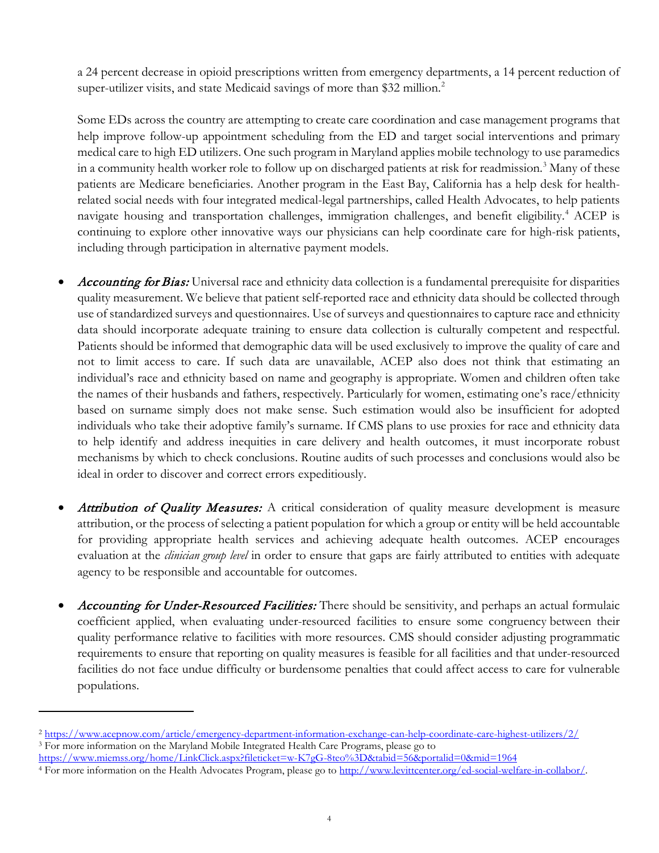a 24 percent decrease in opioid prescriptions written from emergency departments, a 14 percent reduction of super-utilizer visits, and state Medicaid savings of more than \$3[2](#page-3-0) million.<sup>2</sup>

Some EDs across the country are attempting to create care coordination and case management programs that help improve follow-up appointment scheduling from the ED and target social interventions and primary medical care to high ED utilizers. One such program in Maryland applies mobile technology to use paramedics in a community health worker role to follow up on discharged patients at risk for readmission.<sup>[3](#page-3-1)</sup> Many of these patients are Medicare beneficiaries. Another program in the East Bay, California has a help desk for healthrelated social needs with four integrated medical-legal partnerships, called Health Advocates, to help patients navigate housing and transportation challenges, immigration challenges, and benefit eligibility.<sup>[4](#page-3-2)</sup> ACEP is continuing to explore other innovative ways our physicians can help coordinate care for high-risk patients, including through participation in alternative payment models.

- Accounting for Bias: Universal race and ethnicity data collection is a fundamental prerequisite for disparities quality measurement. We believe that patient self-reported race and ethnicity data should be collected through use of standardized surveys and questionnaires. Use of surveys and questionnaires to capture race and ethnicity data should incorporate adequate training to ensure data collection is culturally competent and respectful. Patients should be informed that demographic data will be used exclusively to improve the quality of care and not to limit access to care. If such data are unavailable, ACEP also does not think that estimating an individual's race and ethnicity based on name and geography is appropriate. Women and children often take the names of their husbands and fathers, respectively. Particularly for women, estimating one's race/ethnicity based on surname simply does not make sense. Such estimation would also be insufficient for adopted individuals who take their adoptive family's surname. If CMS plans to use proxies for race and ethnicity data to help identify and address inequities in care delivery and health outcomes, it must incorporate robust mechanisms by which to check conclusions. Routine audits of such processes and conclusions would also be ideal in order to discover and correct errors expeditiously.
- Attribution of Quality Measures: A critical consideration of quality measure development is measure attribution, or the process of selecting a patient population for which a group or entity will be held accountable for providing appropriate health services and achieving adequate health outcomes. ACEP encourages evaluation at the *clinician group level* in order to ensure that gaps are fairly attributed to entities with adequate agency to be responsible and accountable for outcomes.
- Accounting for Under-Resourced Facilities: There should be sensitivity, and perhaps an actual formulaic coefficient applied, when evaluating under-resourced facilities to ensure some congruency between their quality performance relative to facilities with more resources. CMS should consider adjusting programmatic requirements to ensure that reporting on quality measures is feasible for all facilities and that under-resourced facilities do not face undue difficulty or burdensome penalties that could affect access to care for vulnerable populations.

<span id="page-3-0"></span><sup>2</sup> <https://www.acepnow.com/article/emergency-department-information-exchange-can-help-coordinate-care-highest-utilizers/2/> <sup>3</sup> For more information on the Maryland Mobile Integrated Health Care Programs, please go to

<span id="page-3-1"></span><https://www.miemss.org/home/LinkClick.aspx?fileticket=w-K7gG-8teo%3D&tabid=56&portalid=0&mid=1964>

<span id="page-3-2"></span><sup>4</sup> For more information on the Health Advocates Program, please go to [http://www.levittcenter.org/ed-social-welfare-in-collabor/.](http://www.levittcenter.org/ed-social-welfare-in-collabor/)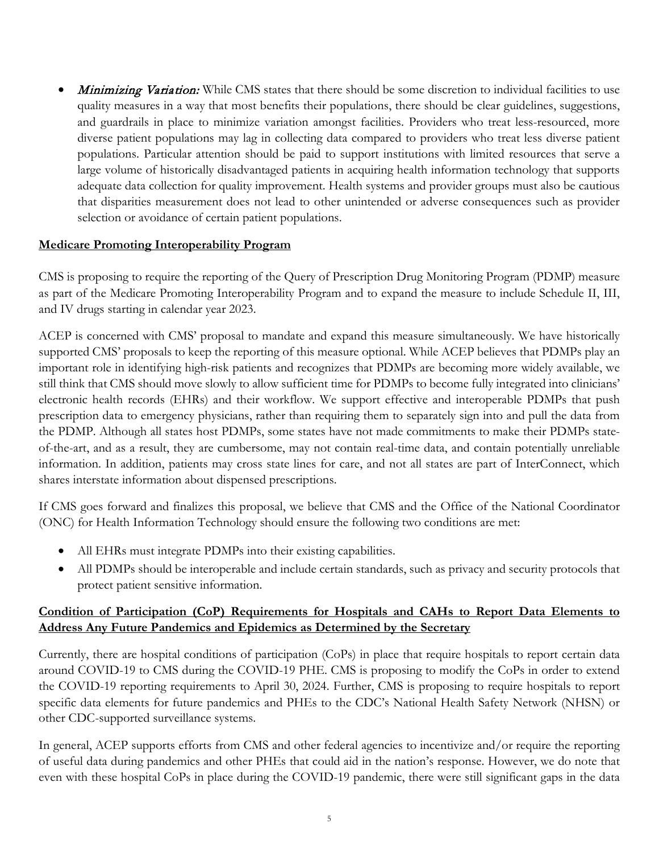Minimizing Variation: While CMS states that there should be some discretion to individual facilities to use quality measures in a way that most benefits their populations, there should be clear guidelines, suggestions, and guardrails in place to minimize variation amongst facilities. Providers who treat less-resourced, more diverse patient populations may lag in collecting data compared to providers who treat less diverse patient populations. Particular attention should be paid to support institutions with limited resources that serve a large volume of historically disadvantaged patients in acquiring health information technology that supports adequate data collection for quality improvement. Health systems and provider groups must also be cautious that disparities measurement does not lead to other unintended or adverse consequences such as provider selection or avoidance of certain patient populations.

## **Medicare Promoting Interoperability Program**

CMS is proposing to require the reporting of the Query of Prescription Drug Monitoring Program (PDMP) measure as part of the Medicare Promoting Interoperability Program and to expand the measure to include Schedule II, III, and IV drugs starting in calendar year 2023.

ACEP is concerned with CMS' proposal to mandate and expand this measure simultaneously. We have historically supported CMS' proposals to keep the reporting of this measure optional. While ACEP believes that PDMPs play an important role in identifying high-risk patients and recognizes that PDMPs are becoming more widely available, we still think that CMS should move slowly to allow sufficient time for PDMPs to become fully integrated into clinicians' electronic health records (EHRs) and their workflow. We support effective and interoperable PDMPs that push prescription data to emergency physicians, rather than requiring them to separately sign into and pull the data from the PDMP. Although all states host PDMPs, some states have not made commitments to make their PDMPs stateof-the-art, and as a result, they are cumbersome, may not contain real-time data, and contain potentially unreliable information. In addition, patients may cross state lines for care, and not all states are part of InterConnect, which shares interstate information about dispensed prescriptions.

If CMS goes forward and finalizes this proposal, we believe that CMS and the Office of the National Coordinator (ONC) for Health Information Technology should ensure the following two conditions are met:

- All EHRs must integrate PDMPs into their existing capabilities.
- All PDMPs should be interoperable and include certain standards, such as privacy and security protocols that protect patient sensitive information.

## **Condition of Participation (CoP) Requirements for Hospitals and CAHs to Report Data Elements to Address Any Future Pandemics and Epidemics as Determined by the Secretary**

Currently, there are hospital conditions of participation (CoPs) in place that require hospitals to report certain data around COVID-19 to CMS during the COVID-19 PHE. CMS is proposing to modify the CoPs in order to extend the COVID-19 reporting requirements to April 30, 2024. Further, CMS is proposing to require hospitals to report specific data elements for future pandemics and PHEs to the CDC's National Health Safety Network (NHSN) or other CDC-supported surveillance systems.

In general, ACEP supports efforts from CMS and other federal agencies to incentivize and/or require the reporting of useful data during pandemics and other PHEs that could aid in the nation's response. However, we do note that even with these hospital CoPs in place during the COVID-19 pandemic, there were still significant gaps in the data